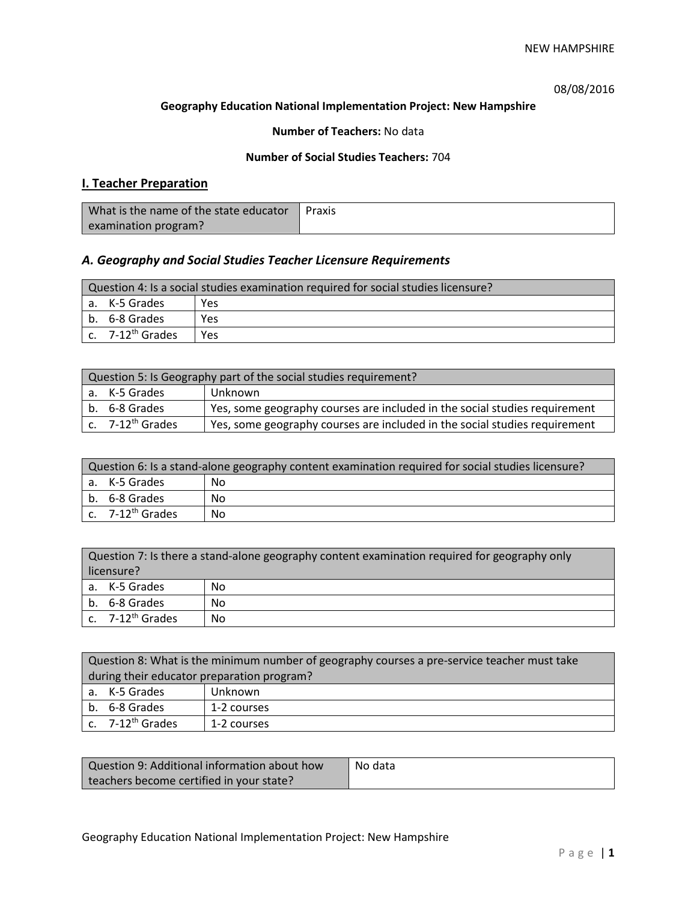08/08/2016

### **Geography Education National Implementation Project: New Hampshire**

## **Number of Teachers:** No data

## **Number of Social Studies Teachers:** 704

# **I. Teacher Preparation**

| What is the name of the state educator | Praxis |
|----------------------------------------|--------|
| examination program?                   |        |

## *A. Geography and Social Studies Teacher Licensure Requirements*

| Question 4: Is a social studies examination required for social studies licensure? |                       |     |
|------------------------------------------------------------------------------------|-----------------------|-----|
|                                                                                    | a. K-5 Grades         | Yes |
|                                                                                    | b. 6-8 Grades         | Yes |
|                                                                                    | c. $7-12^{th}$ Grades | Yes |

| Question 5: Is Geography part of the social studies requirement? |                                                                            |  |
|------------------------------------------------------------------|----------------------------------------------------------------------------|--|
| a. K-5 Grades                                                    | Unknown                                                                    |  |
| l b. 6-8 Grades                                                  | Yes, some geography courses are included in the social studies requirement |  |
| c. 7-12 <sup>th</sup> Grades                                     | Yes, some geography courses are included in the social studies requirement |  |

| Question 6: Is a stand-alone geography content examination required for social studies licensure? |    |  |
|---------------------------------------------------------------------------------------------------|----|--|
| a. K-5 Grades                                                                                     | No |  |
| b. 6-8 Grades                                                                                     | No |  |
| c. $7-12^{th}$ Grades                                                                             | Nο |  |

| Question 7: Is there a stand-alone geography content examination required for geography only<br>licensure? |    |  |
|------------------------------------------------------------------------------------------------------------|----|--|
| a. K-5 Grades                                                                                              | No |  |
| b. 6-8 Grades                                                                                              | No |  |
| c. $7-12^{th}$ Grades                                                                                      | No |  |

| Question 8: What is the minimum number of geography courses a pre-service teacher must take |             |  |
|---------------------------------------------------------------------------------------------|-------------|--|
| during their educator preparation program?                                                  |             |  |
| a. K-5 Grades                                                                               | Unknown     |  |
| b. 6-8 Grades                                                                               | 1-2 courses |  |
| c. 7-12 <sup>th</sup> Grades                                                                | 1-2 courses |  |

| Question 9: Additional information about how | No data |
|----------------------------------------------|---------|
| teachers become certified in your state?     |         |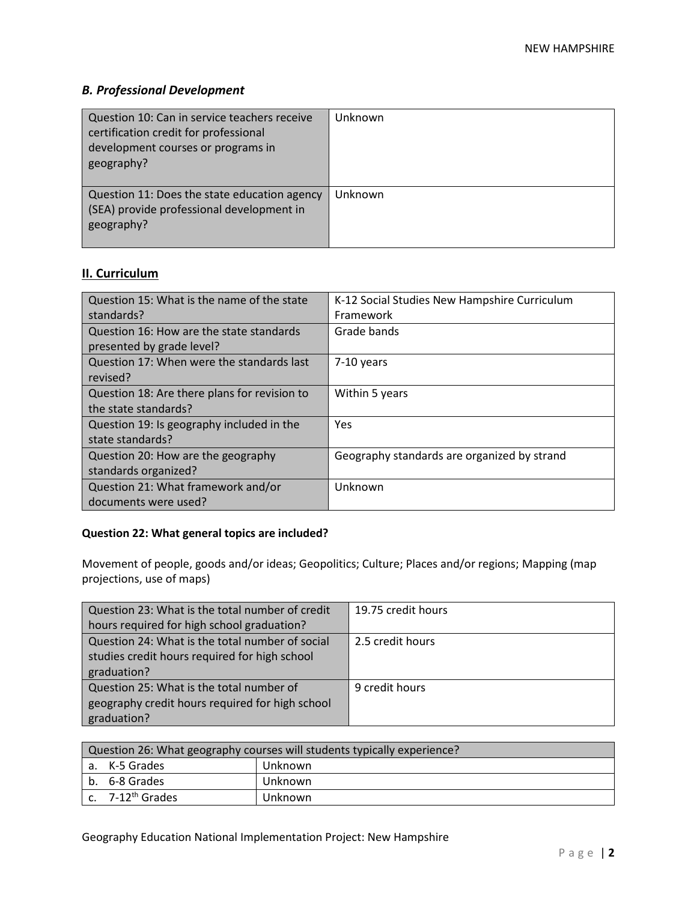# *B. Professional Development*

| Question 10: Can in service teachers receive<br>certification credit for professional<br>development courses or programs in<br>geography? | Unknown |
|-------------------------------------------------------------------------------------------------------------------------------------------|---------|
| Question 11: Does the state education agency<br>(SEA) provide professional development in<br>geography?                                   | Unknown |

# **II. Curriculum**

| Question 15: What is the name of the state   | K-12 Social Studies New Hampshire Curriculum |
|----------------------------------------------|----------------------------------------------|
| standards?                                   | Framework                                    |
| Question 16: How are the state standards     | Grade bands                                  |
| presented by grade level?                    |                                              |
| Question 17: When were the standards last    | $7-10$ years                                 |
| revised?                                     |                                              |
| Question 18: Are there plans for revision to | Within 5 years                               |
| the state standards?                         |                                              |
| Question 19: Is geography included in the    | Yes                                          |
| state standards?                             |                                              |
| Question 20: How are the geography           | Geography standards are organized by strand  |
| standards organized?                         |                                              |
| Question 21: What framework and/or           | Unknown                                      |
| documents were used?                         |                                              |

## **Question 22: What general topics are included?**

Movement of people, goods and/or ideas; Geopolitics; Culture; Places and/or regions; Mapping (map projections, use of maps)

| Question 23: What is the total number of credit | 19.75 credit hours |
|-------------------------------------------------|--------------------|
| hours required for high school graduation?      |                    |
| Question 24: What is the total number of social | 2.5 credit hours   |
| studies credit hours required for high school   |                    |
| graduation?                                     |                    |
| Question 25: What is the total number of        | 9 credit hours     |
| geography credit hours required for high school |                    |
| graduation?                                     |                    |

| Question 26: What geography courses will students typically experience? |         |  |
|-------------------------------------------------------------------------|---------|--|
| l a. K-5 Grades                                                         | Unknown |  |
| b. 6-8 Grades                                                           | Unknown |  |
| c. 7-12 <sup>th</sup> Grades                                            | Unknown |  |